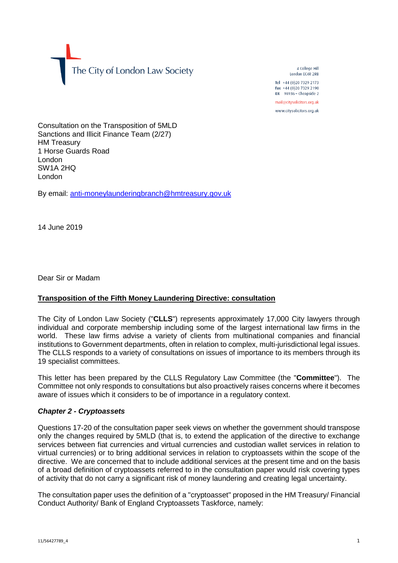The City of London Law Society

4 College Hill London FC4R 2RB

Tel +44 (0)20 7329 2173 Fax +44 (0)20 7329 2190 DX  $98936$  - Cheapside 2 mail@citysolicitors.org.uk

www.citysolicitors.org.uk

Consultation on the Transposition of 5MLD Sanctions and Illicit Finance Team (2/27) HM Treasury 1 Horse Guards Road London SW1A 2HQ London

By email: [anti-moneylaunderingbranch@hmtreasury.gov.uk](mailto:anti-moneylaunderingbranch@hmtreasury.gov.uk)

14 June 2019

Dear Sir or Madam

## **Transposition of the Fifth Money Laundering Directive: consultation**

The City of London Law Society ("**CLLS**") represents approximately 17,000 City lawyers through individual and corporate membership including some of the largest international law firms in the world. These law firms advise a variety of clients from multinational companies and financial institutions to Government departments, often in relation to complex, multi-jurisdictional legal issues. The CLLS responds to a variety of consultations on issues of importance to its members through its 19 specialist committees.

This letter has been prepared by the CLLS Regulatory Law Committee (the "**Committee**"). The Committee not only responds to consultations but also proactively raises concerns where it becomes aware of issues which it considers to be of importance in a regulatory context.

## *Chapter 2 - Cryptoassets*

Questions 17-20 of the consultation paper seek views on whether the government should transpose only the changes required by 5MLD (that is, to extend the application of the directive to exchange services between fiat currencies and virtual currencies and custodian wallet services in relation to virtual currencies) or to bring additional services in relation to cryptoassets within the scope of the directive. We are concerned that to include additional services at the present time and on the basis of a broad definition of cryptoassets referred to in the consultation paper would risk covering types of activity that do not carry a significant risk of money laundering and creating legal uncertainty.

The consultation paper uses the definition of a "cryptoasset" proposed in the HM Treasury/ Financial Conduct Authority/ Bank of England Cryptoassets Taskforce, namely: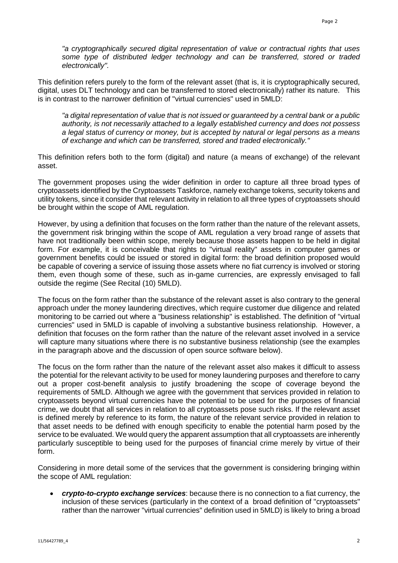*"a cryptographically secured digital representation of value or contractual rights that uses some type of distributed ledger technology and can be transferred, stored or traded electronically".*

This definition refers purely to the form of the relevant asset (that is, it is cryptographically secured, digital, uses DLT technology and can be transferred to stored electronically) rather its nature. This is in contrast to the narrower definition of "virtual currencies" used in 5MLD:

*"a digital representation of value that is not issued or guaranteed by a central bank or a public authority, is not necessarily attached to a legally established currency and does not possess a legal status of currency or money, but is accepted by natural or legal persons as a means of exchange and which can be transferred, stored and traded electronically."* 

This definition refers both to the form (digital) and nature (a means of exchange) of the relevant asset.

The government proposes using the wider definition in order to capture all three broad types of cryptoassets identified by the Cryptoassets Taskforce, namely exchange tokens, security tokens and utility tokens, since it consider that relevant activity in relation to all three types of cryptoassets should be brought within the scope of AML regulation.

However, by using a definition that focuses on the form rather than the nature of the relevant assets, the government risk bringing within the scope of AML regulation a very broad range of assets that have not traditionally been within scope, merely because those assets happen to be held in digital form. For example, it is conceivable that rights to "virtual reality" assets in computer games or government benefits could be issued or stored in digital form: the broad definition proposed would be capable of covering a service of issuing those assets where no fiat currency is involved or storing them, even though some of these, such as in-game currencies, are expressly envisaged to fall outside the regime (See Recital (10) 5MLD).

The focus on the form rather than the substance of the relevant asset is also contrary to the general approach under the money laundering directives, which require customer due diligence and related monitoring to be carried out where a "business relationship" is established. The definition of "virtual currencies" used in 5MLD is capable of involving a substantive business relationship. However, a definition that focuses on the form rather than the nature of the relevant asset involved in a service will capture many situations where there is no substantive business relationship (see the examples in the paragraph above and the discussion of open source software below).

The focus on the form rather than the nature of the relevant asset also makes it difficult to assess the potential for the relevant activity to be used for money laundering purposes and therefore to carry out a proper cost-benefit analysis to justify broadening the scope of coverage beyond the requirements of 5MLD. Although we agree with the government that services provided in relation to cryptoassets beyond virtual currencies have the potential to be used for the purposes of financial crime, we doubt that all services in relation to all cryptoassets pose such risks. If the relevant asset is defined merely by reference to its form, the nature of the relevant service provided in relation to that asset needs to be defined with enough specificity to enable the potential harm posed by the service to be evaluated. We would query the apparent assumption that all cryptoassets are inherently particularly susceptible to being used for the purposes of financial crime merely by virtue of their form.

Considering in more detail some of the services that the government is considering bringing within the scope of AML regulation:

• *crypto-to-crypto exchange services*: because there is no connection to a fiat currency, the inclusion of these services (particularly in the context of a broad definition of "cryptoassets" rather than the narrower "virtual currencies" definition used in 5MLD) is likely to bring a broad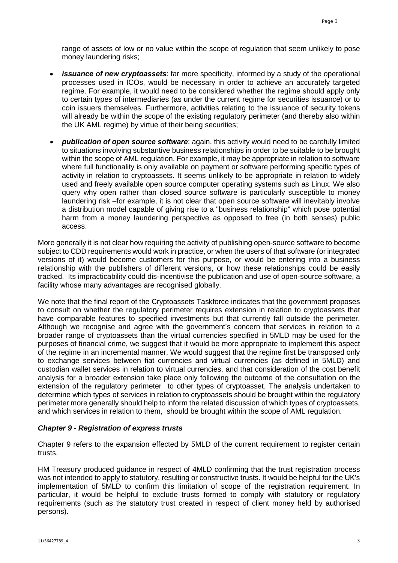range of assets of low or no value within the scope of regulation that seem unlikely to pose money laundering risks;

- *issuance of new cryptoassets*: far more specificity, informed by a study of the operational processes used in ICOs, would be necessary in order to achieve an accurately targeted regime. For example, it would need to be considered whether the regime should apply only to certain types of intermediaries (as under the current regime for securities issuance) or to coin issuers themselves. Furthermore, activities relating to the issuance of security tokens will already be within the scope of the existing regulatory perimeter (and thereby also within the UK AML regime) by virtue of their being securities;
- *publication of open source software*: again, this activity would need to be carefully limited to situations involving substantive business relationships in order to be suitable to be brought within the scope of AML regulation. For example, it may be appropriate in relation to software where full functionality is only available on payment or software performing specific types of activity in relation to cryptoassets. It seems unlikely to be appropriate in relation to widely used and freely available open source computer operating systems such as Linux. We also query why open rather than closed source software is particularly susceptible to money laundering risk –for example, it is not clear that open source software will inevitably involve a distribution model capable of giving rise to a "business relationship" which pose potential harm from a money laundering perspective as opposed to free (in both senses) public access.

More generally it is not clear how requiring the activity of publishing open-source software to become subject to CDD requirements would work in practice, or when the users of that software (or integrated versions of it) would become customers for this purpose, or would be entering into a business relationship with the publishers of different versions, or how these relationships could be easily tracked. Its impracticability could dis-incentivise the publication and use of open-source software, a facility whose many advantages are recognised globally.

We note that the final report of the Cryptoassets Taskforce indicates that the government proposes to consult on whether the regulatory perimeter requires extension in relation to cryptoassets that have comparable features to specified investments but that currently fall outside the perimeter. Although we recognise and agree with the government's concern that services in relation to a broader range of cryptoassets than the virtual currencies specified in 5MLD may be used for the purposes of financial crime, we suggest that it would be more appropriate to implement this aspect of the regime in an incremental manner. We would suggest that the regime first be transposed only to exchange services between fiat currencies and virtual currencies (as defined in 5MLD) and custodian wallet services in relation to virtual currencies, and that consideration of the cost benefit analysis for a broader extension take place only following the outcome of the consultation on the extension of the regulatory perimeter to other types of cryptoasset. The analysis undertaken to determine which types of services in relation to cryptoassets should be brought within the regulatory perimeter more generally should help to inform the related discussion of which types of cryptoassets, and which services in relation to them, should be brought within the scope of AML regulation.

## *Chapter 9 - Registration of express trusts*

Chapter 9 refers to the expansion effected by 5MLD of the current requirement to register certain trusts.

HM Treasury produced guidance in respect of 4MLD confirming that the trust registration process was not intended to apply to statutory, resulting or constructive trusts. It would be helpful for the UK's implementation of 5MLD to confirm this limitation of scope of the registration requirement. In particular, it would be helpful to exclude trusts formed to comply with statutory or regulatory requirements (such as the statutory trust created in respect of client money held by authorised persons).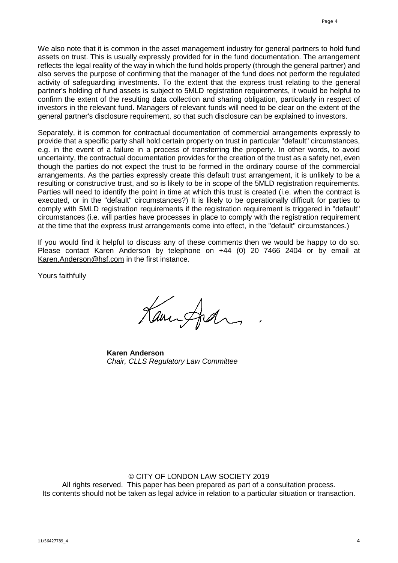We also note that it is common in the asset management industry for general partners to hold fund assets on trust. This is usually expressly provided for in the fund documentation. The arrangement reflects the legal reality of the way in which the fund holds property (through the general partner) and also serves the purpose of confirming that the manager of the fund does not perform the regulated activity of safeguarding investments. To the extent that the express trust relating to the general partner's holding of fund assets is subject to 5MLD registration requirements, it would be helpful to confirm the extent of the resulting data collection and sharing obligation, particularly in respect of investors in the relevant fund. Managers of relevant funds will need to be clear on the extent of the general partner's disclosure requirement, so that such disclosure can be explained to investors.

Separately, it is common for contractual documentation of commercial arrangements expressly to provide that a specific party shall hold certain property on trust in particular "default" circumstances, e.g. in the event of a failure in a process of transferring the property. In other words, to avoid uncertainty, the contractual documentation provides for the creation of the trust as a safety net, even though the parties do not expect the trust to be formed in the ordinary course of the commercial arrangements. As the parties expressly create this default trust arrangement, it is unlikely to be a resulting or constructive trust, and so is likely to be in scope of the 5MLD registration requirements. Parties will need to identify the point in time at which this trust is created (i.e. when the contract is executed, or in the "default" circumstances?) It is likely to be operationally difficult for parties to comply with 5MLD registration requirements if the registration requirement is triggered in "default" circumstances (i.e. will parties have processes in place to comply with the registration requirement at the time that the express trust arrangements come into effect, in the "default" circumstances.)

If you would find it helpful to discuss any of these comments then we would be happy to do so. Please contact Karen Anderson by telephone on +44 (0) 20 7466 2404 or by email at [Karen.Anderson@hsf.com](mailto:Karen.Anderson@hsf.com) in the first instance.

Yours faithfully

Kaminghan

**Karen Anderson** *Chair, CLLS Regulatory Law Committee*

© CITY OF LONDON LAW SOCIETY 2019 All rights reserved. This paper has been prepared as part of a consultation process. Its contents should not be taken as legal advice in relation to a particular situation or transaction.